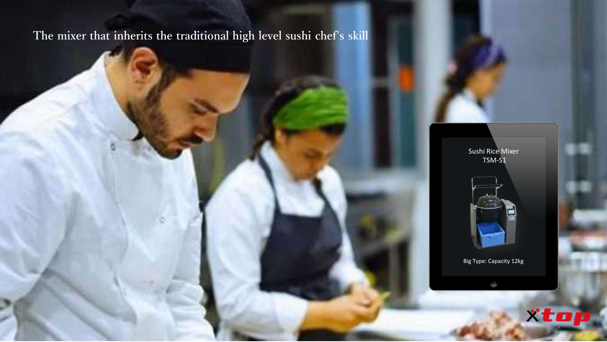# **The mixer that inherits the traditional high level sushi chef's skill**

Sushi Rice Mixer TSM-S1



Big Type: Capacity 12kg

 $\qquad \qquad \qquad \qquad \qquad$ 

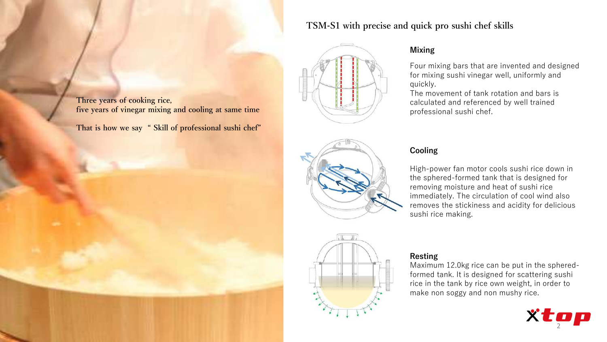### **TSM-S1 with precise and quick pro sushi chef skills**



### **Mixing**

Four mixing bars that are invented and designed for mixing sushi vinegar well, uniformly and quickly.

The movement of tank rotation and bars is calculated and referenced by well trained professional sushi chef.



### **Cooling**

High-power fan motor cools sushi rice down in the sphered-formed tank that is designed for removing moisture and heat of sushi rice immediately. The circulation of cool wind also removes the stickiness and acidity for delicious sushi rice making.



#### **Resting**

Maximum 12.0kg rice can be put in the spheredformed tank. It is designed for scattering sushi rice in the tank by rice own weight, in order to make non soggy and non mushy rice.



**Three years of cooking rice, five years of vinegar mixing and cooling at same time**

**That is how we say " Skill of professional sushi chef"**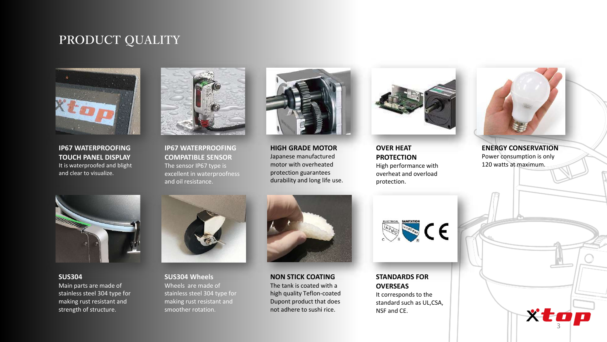## **PRODUCT QUALITY**



**IP67 WATERPROOFING TOUCH PANEL DISPLAY** It is waterproofed and blight and clear to visualize.



**IP67 WATERPROOFING COMPATIBLE SENSOR**  The sensor IP67 type is excellent in waterproofness and oil resistance.



**HIGH GRADE MOTOR** Japanese manufactured motor with overheated protection guarantees durability and long life use.



**OVER HEAT PROTECTION** High performance with overheat and overload protection.



**ENERGY CONSERVATION** Power consumption is only 120 watts at maximum.

xtop



**SUS304** Main parts are made of stainless steel 304 type for making rust resistant and strength of structure.



**SUS304 Wheels** Wheels are made of stainless steel 304 type for making rust resistant and smoother rotation.



**NON STICK COATING** The tank is coated with a high quality Teflon-coated Dupont product that does not adhere to sushi rice.



**STANDARDS FOR OVERSEAS** It corresponds to the standard such as UL,CSA, NSF and CE.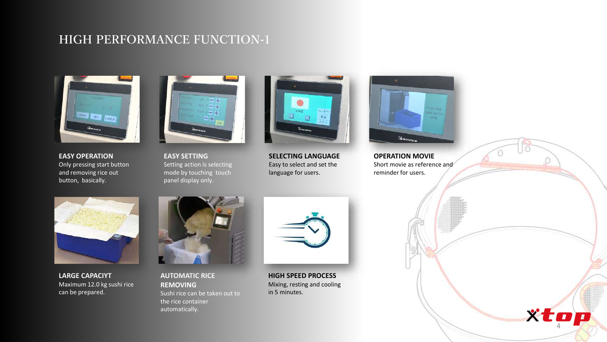## **HIGH PERFORMANCE FUNCTION-1**



**EASY OPERATION** Only pressing start button and removing rice out button, basically.



**EASY SETTING** Setting action is selecting mode by touching touch panel display only.



**SELECTING LANGUAGE** Easy to select and set the language for users.



**OPERATION MOVIE** Short movie as reference and reminder for users.

xtop



**LARGE CAPACIYT** Maximum 12.0 kg sushi rice can be prepared.



**AUTOMATIC RICE REMOVING** Sushi rice can be taken out to the rice container automatically.



**HIGH SPEED PROCESS** Mixing, resting and cooling in 5 minutes.

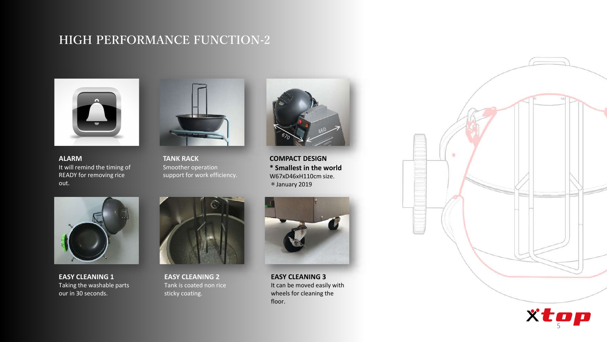## **HIGH PERFORMANCE FUNCTION-2**



**ALARM** It will remind the timing of READY for removing rice out.



**TANK RACK** Smoother operation support for work efficiency.



**COMPACT DESIGN \* Smallest in the world** W67xD46xH110cm size. \*January 2019



**EASY CLEANING 1** Taking the washable parts our in 30 seconds.



**EASY CLEANING 2** Tank is coated non rice sticky coating.



**EASY CLEANING 3** It can be moved easily with wheels for cleaning the floor.



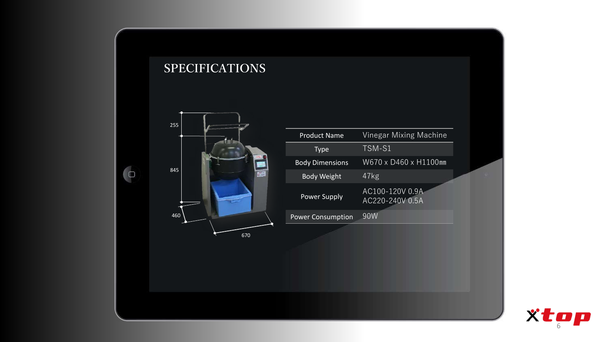